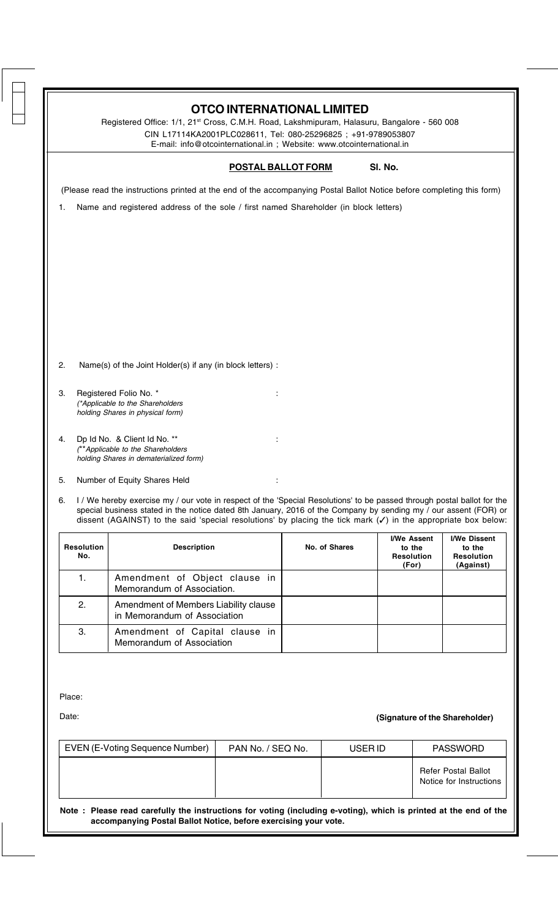|                          | <b>POSTAL BALLOT FORM</b>                                                                                                                                                                                                                                                                                                                                       |               | SI. No.                                                    |                                                          |
|--------------------------|-----------------------------------------------------------------------------------------------------------------------------------------------------------------------------------------------------------------------------------------------------------------------------------------------------------------------------------------------------------------|---------------|------------------------------------------------------------|----------------------------------------------------------|
|                          |                                                                                                                                                                                                                                                                                                                                                                 |               |                                                            |                                                          |
|                          | (Please read the instructions printed at the end of the accompanying Postal Ballot Notice before completing this form)                                                                                                                                                                                                                                          |               |                                                            |                                                          |
| 1.                       | Name and registered address of the sole / first named Shareholder (in block letters)                                                                                                                                                                                                                                                                            |               |                                                            |                                                          |
|                          |                                                                                                                                                                                                                                                                                                                                                                 |               |                                                            |                                                          |
|                          |                                                                                                                                                                                                                                                                                                                                                                 |               |                                                            |                                                          |
|                          |                                                                                                                                                                                                                                                                                                                                                                 |               |                                                            |                                                          |
|                          |                                                                                                                                                                                                                                                                                                                                                                 |               |                                                            |                                                          |
|                          |                                                                                                                                                                                                                                                                                                                                                                 |               |                                                            |                                                          |
|                          |                                                                                                                                                                                                                                                                                                                                                                 |               |                                                            |                                                          |
|                          | Name(s) of the Joint Holder(s) if any (in block letters) :                                                                                                                                                                                                                                                                                                      |               |                                                            |                                                          |
|                          | Registered Folio No. *<br>(*Applicable to the Shareholders                                                                                                                                                                                                                                                                                                      |               |                                                            |                                                          |
|                          | holding Shares in physical form)                                                                                                                                                                                                                                                                                                                                |               |                                                            |                                                          |
| 4.                       | Dp Id No. & Client Id No. **<br>(**Applicable to the Shareholders                                                                                                                                                                                                                                                                                               |               |                                                            |                                                          |
|                          | holding Shares in dematerialized form)                                                                                                                                                                                                                                                                                                                          |               |                                                            |                                                          |
| 5.                       | Number of Equity Shares Held                                                                                                                                                                                                                                                                                                                                    |               |                                                            |                                                          |
| 6.                       | I / We hereby exercise my / our vote in respect of the 'Special Resolutions' to be passed through postal ballot for the<br>special business stated in the notice dated 8th January, 2016 of the Company by sending my / our assent (FOR) or<br>dissent (AGAINST) to the said 'special resolutions' by placing the tick mark $(V)$ in the appropriate box below: |               |                                                            |                                                          |
| <b>Resolution</b><br>No. | <b>Description</b>                                                                                                                                                                                                                                                                                                                                              | No. of Shares | <b>I/We Assent</b><br>to the<br><b>Resolution</b><br>(For) | I/We Dissent<br>to the<br><b>Resolution</b><br>(Against) |
| 1.                       | Amendment of Object clause in<br>Memorandum of Association.                                                                                                                                                                                                                                                                                                     |               |                                                            |                                                          |
| 2.                       | Amendment of Members Liability clause<br>in Memorandum of Association                                                                                                                                                                                                                                                                                           |               |                                                            |                                                          |
| 3.                       | Amendment of Capital clause in<br>Memorandum of Association                                                                                                                                                                                                                                                                                                     |               |                                                            |                                                          |

| EVEN (E-Voting Sequence Number) | PAN No. / SEQ No. | USER ID | <b>PASSWORD</b>                                       |
|---------------------------------|-------------------|---------|-------------------------------------------------------|
|                                 |                   |         | <b>Refer Postal Ballot</b><br>Notice for Instructions |

**Note : Please read carefully the instructions for voting (including e-voting), which is printed at the end of the accompanying Postal Ballot Notice, before exercising your vote.**